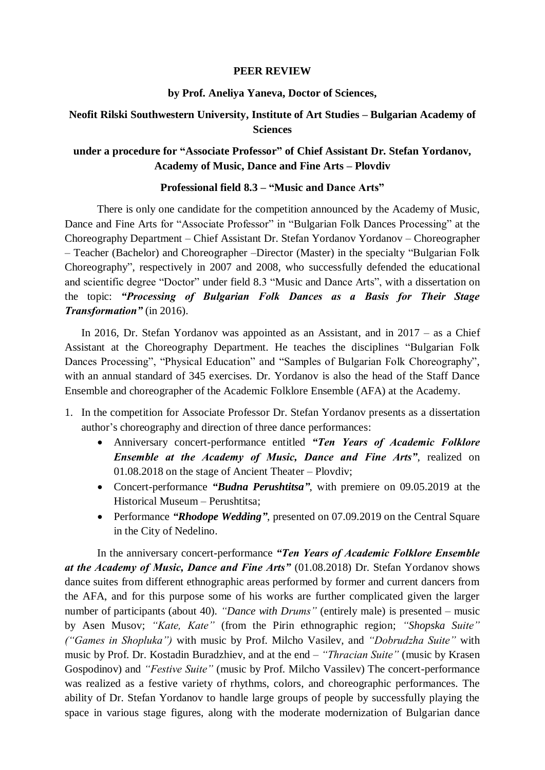### **PEER REVIEW**

#### **by Prof. Aneliya Yaneva, Doctor of Sciences,**

# **Neofit Rilski Southwestern University, Institute of Art Studies – Bulgarian Academy of Sciences**

## **under a procedure for "Associate Professor" of Chief Assistant Dr. Stefan Yordanov, Academy of Music, Dance and Fine Arts – Plovdiv**

### **Professional field 8.3 – "Music and Dance Arts"**

There is only one candidate for the competition announced by the Academy of Music, Dance and Fine Arts for "Associate Professor" in "Bulgarian Folk Dances Processing" at the Choreography Department – Chief Assistant Dr. Stefan Yordanov Yordanov – Choreographer – Teacher (Bachelor) and Choreographer –Director (Master) in the specialty "Bulgarian Folk Choreography", respectively in 2007 and 2008, who successfully defended the educational and scientific degree "Doctor" under field 8.3 "Music and Dance Arts", with a dissertation on the topic: *"Processing of Bulgarian Folk Dances as a Basis for Their Stage Transformation"* (in 2016).

In 2016, Dr. Stefan Yordanov was appointed as an Assistant, and in 2017 – as a Chief Assistant at the Choreography Department. He teaches the disciplines "Bulgarian Folk Dances Processing", "Physical Education" and "Samples of Bulgarian Folk Choreography", with an annual standard of 345 exercises. Dr. Yordanov is also the head of the Staff Dance Ensemble and choreographer of the Academic Folklore Ensemble (AFA) at the Academy.

- 1. In the competition for Associate Professor Dr. Stefan Yordanov presents as a dissertation author's choreography and direction of three dance performances:
	- Anniversary concert-performance entitled *"Ten Years of Academic Folklore Ensemble at the Academy of Music, Dance and Fine Arts"*, realized on 01.08.2018 on the stage of Ancient Theater – Plovdiv;
	- Concert-performance *"Budna Perushtitsa"*, with premiere on 09.05.2019 at the Historical Museum – Perushtitsa;
	- Performance *"Rhodope Wedding"*, presented on 07.09.2019 on the Central Square in the City of Nedelino.

In the anniversary concert-performance *"Ten Years of Academic Folklore Ensemble at the Academy of Music, Dance and Fine Arts"* (01.08.2018) Dr. Stefan Yordanov shows dance suites from different ethnographic areas performed by former and current dancers from the AFA, and for this purpose some of his works are further complicated given the larger number of participants (about 40). *"Dance with Drums"* (entirely male) is presented – music by Asen Musov; *"Kate, Kate"* (from the Pirin ethnographic region; *"Shopska Suite" ("Games in Shopluka")* with music by Prof. Milcho Vasilev, and *"Dobrudzha Suite"* with music by Prof. Dr. Kostadin Buradzhiev, and at the end – *"Thracian Suite"* (music by Krasen Gospodinov) and *"Festive Suite"* (music by Prof. Milcho Vassilev) The concert-performance was realized as a festive variety of rhythms, colors, and choreographic performances. The ability of Dr. Stefan Yordanov to handle large groups of people by successfully playing the space in various stage figures, along with the moderate modernization of Bulgarian dance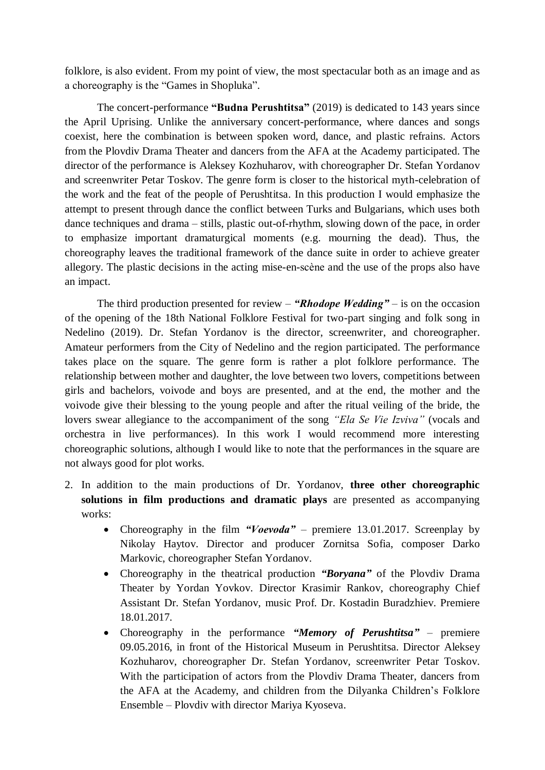folklore, is also evident. From my point of view, the most spectacular both as an image and as a choreography is the "Games in Shopluka".

The concert-performance **"Budna Perushtitsa"** (2019) is dedicated to 143 years since the April Uprising. Unlike the anniversary concert-performance, where dances and songs coexist, here the combination is between spoken word, dance, and plastic refrains. Actors from the Plovdiv Drama Theater and dancers from the AFA at the Academy participated. The director of the performance is Aleksey Kozhuharov, with choreographer Dr. Stefan Yordanov and screenwriter Petar Toskov. The genre form is closer to the historical myth-celebration of the work and the feat of the people of Perushtitsa. In this production I would emphasize the attempt to present through dance the conflict between Turks and Bulgarians, which uses both dance techniques and drama – stills, plastic out-of-rhythm, slowing down of the pace, in order to emphasize important dramaturgical moments (e.g. mourning the dead). Thus, the choreography leaves the traditional framework of the dance suite in order to achieve greater allegory. The plastic decisions in the acting mise-en-scène and the use of the props also have an impact.

The third production presented for review – *"Rhodope Wedding"* – is on the occasion of the opening of the 18th National Folklore Festival for two-part singing and folk song in Nedelino (2019). Dr. Stefan Yordanov is the director, screenwriter, and choreographer. Amateur performers from the City of Nedelino and the region participated. The performance takes place on the square. The genre form is rather a plot folklore performance. The relationship between mother and daughter, the love between two lovers, competitions between girls and bachelors, voivode and boys are presented, and at the end, the mother and the voivode give their blessing to the young people and after the ritual veiling of the bride, the lovers swear allegiance to the accompaniment of the song *"Ela Se Vie Izviva"* (vocals and orchestra in live performances). In this work I would recommend more interesting choreographic solutions, although I would like to note that the performances in the square are not always good for plot works.

- 2. In addition to the main productions of Dr. Yordanov, **three other choreographic solutions in film productions and dramatic plays** are presented as accompanying works:
	- Choreography in the film *"Voevoda"* premiere 13.01.2017. Screenplay by Nikolay Haytov. Director and producer Zornitsa Sofia, composer Darko Markovic, choreographer Stefan Yordanov.
	- Choreography in the theatrical production *"Boryana"* of the Plovdiv Drama Theater by Yordan Yovkov. Director Krasimir Rankov, choreography Chief Assistant Dr. Stefan Yordanov, music Prof. Dr. Kostadin Buradzhiev. Premiere 18.01.2017.
	- Choreography in the performance *"Memory of Perushtitsa"* premiere 09.05.2016, in front of the Historical Museum in Perushtitsa. Director Aleksey Kozhuharov, choreographer Dr. Stefan Yordanov, screenwriter Petar Toskov. With the participation of actors from the Plovdiv Drama Theater, dancers from the AFA at the Academy, and children from the Dilyanka Children's Folklore Ensemble – Plovdiv with director Mariya Kyoseva.